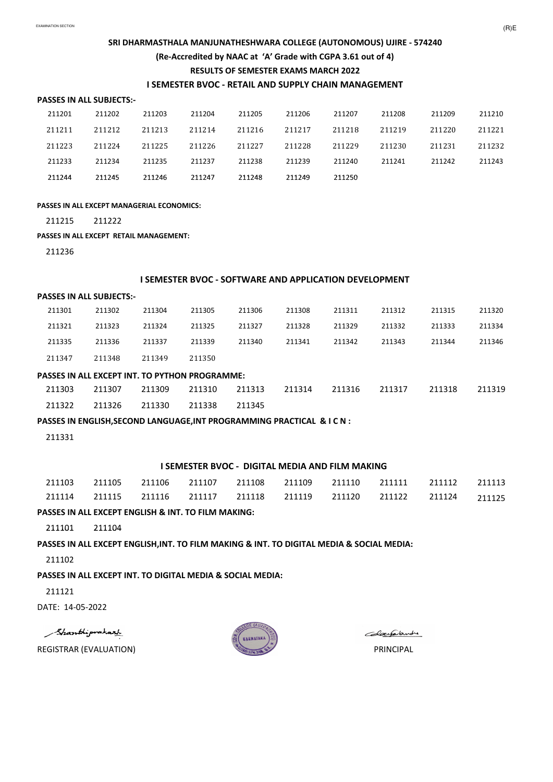#### **PASSES IN ALL SUBJECTS:-**

| 211201 | 211202 | 211203 | 211204 | 211205 | 211206 | 211207 | 211208 | 211209 | 211210 |
|--------|--------|--------|--------|--------|--------|--------|--------|--------|--------|
| 211211 | 211212 | 211213 | 211214 | 211216 | 211217 | 211218 | 211219 | 211220 | 211221 |
| 211223 | 211224 | 211225 | 211226 | 211227 | 211228 | 211229 | 211230 | 211231 | 211232 |
| 211233 | 211234 | 211235 | 211237 | 211238 | 211239 | 211240 | 211241 | 211242 | 211243 |
| 211244 | 211245 | 211246 | 211247 | 211248 | 211249 | 211250 |        |        |        |

# **SRI DHARMASTHALA MANJUNATHESHWARA COLLEGE (AUTONOMOUS) UJIRE - 574240 (Re-Accredited by NAAC at 'A' Grade with CGPA 3.61 out of 4) RESULTS OF SEMESTER EXAMS MARCH 2022**

### **I SEMESTER BVOC - RETAIL AND SUPPLY CHAIN MANAGEMENT**

#### **PASSES IN ALL EXCEPT MANAGERIAL ECONOMICS:**

211215 211222

**PASSES IN ALL EXCEPT RETAIL MANAGEMENT:**

211236

#### **PASSES IN ALL SUBJECTS:-**

| 211301 | 211302 | 211304 | 211305 | 211306 | 211308 | 211311 | 211312 | 211315 | 211320 |
|--------|--------|--------|--------|--------|--------|--------|--------|--------|--------|
| 211321 | 211323 | 211324 | 211325 | 211327 | 211328 | 211329 | 211332 | 211333 | 211334 |
| 211335 | 211336 | 211337 | 211339 | 211340 | 211341 | 211342 | 211343 | 211344 | 211346 |
| 211347 | 211348 | 211349 | 211350 |        |        |        |        |        |        |

### **I SEMESTER BVOC - SOFTWARE AND APPLICATION DEVELOPMENT**

### **PASSES IN ALL EXCEPT INT. TO PYTHON PROGRAMME:**

| 211303 211307 |                      | 211309 |               |  | 211310 211313 211314 211316 211317 211318 | 211319 |
|---------------|----------------------|--------|---------------|--|-------------------------------------------|--------|
|               | 211322 211326 211330 |        | 211338 211345 |  |                                           |        |

### **PASSES IN ENGLISH,SECOND LANGUAGE,INT PROGRAMMING PRACTICAL & I C N :**

211331

| 211103 | 211105 | 211106 |  | 211107 211108 211109 211110 |                                    | 211111 | 211112 | 211113 |
|--------|--------|--------|--|-----------------------------|------------------------------------|--------|--------|--------|
| 211114 | 211115 | 211116 |  |                             | 211117 211118 211119 211120 211122 |        | 211124 | 211125 |

### **PASSES IN ALL EXCEPT ENGLISH & INT. TO FILM MAKING:**

211101 211104

#### **I SEMESTER BVOC - DIGITAL MEDIA AND FILM MAKING**

**PASSES IN ALL EXCEPT ENGLISH,INT. TO FILM MAKING & INT. TO DIGITAL MEDIA & SOCIAL MEDIA:**

211102

**PASSES IN ALL EXCEPT INT. TO DIGITAL MEDIA & SOCIAL MEDIA:**

211121

DATE: 14-05-2022

Shanthiprakart

REGISTRAR (EVALUATION) PRINCIPAL



Colaegalandre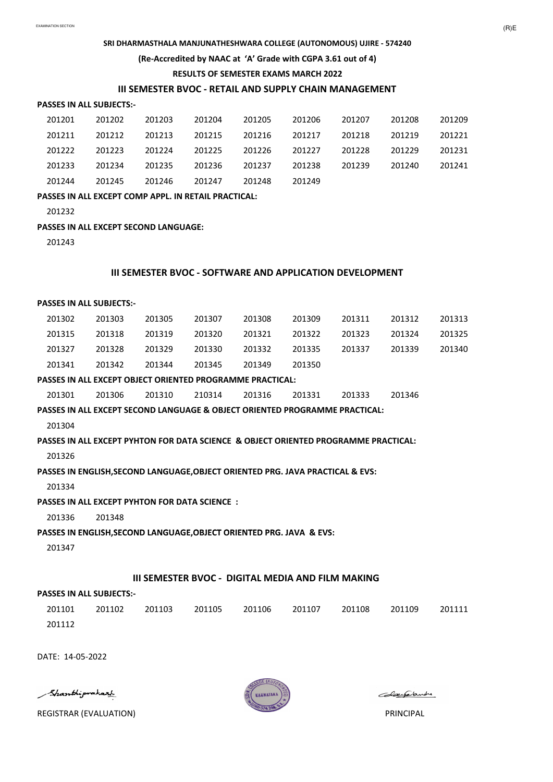#### **PASSES IN ALL SUBJECTS:-**

| 201201 | 201202 | 201203 | 201204 | 201205 | 201206 | 201207 | 201208 | 201209 |
|--------|--------|--------|--------|--------|--------|--------|--------|--------|
| 201211 | 201212 | 201213 | 201215 | 201216 | 201217 | 201218 | 201219 | 201221 |
| 201222 | 201223 | 201224 | 201225 | 201226 | 201227 | 201228 | 201229 | 201231 |
| 201233 | 201234 | 201235 | 201236 | 201237 | 201238 | 201239 | 201240 | 201241 |
| 201244 | 201245 | 201246 | 201247 | 201248 | 201249 |        |        |        |

#### **(Re-Accredited by NAAC at 'A' Grade with CGPA 3.61 out of 4)**

### **III SEMESTER BVOC - RETAIL AND SUPPLY CHAIN MANAGEMENT**

#### **SRI DHARMASTHALA MANJUNATHESHWARA COLLEGE (AUTONOMOUS) UJIRE - 574240**

#### **RESULTS OF SEMESTER EXAMS MARCH 2022**

**PASSES IN ALL EXCEPT COMP APPL. IN RETAIL PRACTICAL:**

201232

#### **PASSES IN ALL EXCEPT SECOND LANGUAGE:**

201243

#### **PASSES IN ALL SUBJECTS:-**

| 201302 | 201303 | 201305 | 201307 | 201308 | 201309 | 201311 | 201312 | 201313 |
|--------|--------|--------|--------|--------|--------|--------|--------|--------|
| 201315 | 201318 | 201319 | 201320 | 201321 | 201322 | 201323 | 201324 | 201325 |
| 201327 | 201328 | 201329 | 201330 | 201332 | 201335 | 201337 | 201339 | 201340 |
| 201341 | 201342 | 201344 | 201345 | 201349 | 201350 |        |        |        |

### **III SEMESTER BVOC - SOFTWARE AND APPLICATION DEVELOPMENT**

#### **PASSES IN ALL EXCEPT OBJECT ORIENTED PROGRAMME PRACTICAL:**

|  | 201301 | 201306 | 201310 | 210314 | 201316 | 201331 | 201333 | 201346 |
|--|--------|--------|--------|--------|--------|--------|--------|--------|
|--|--------|--------|--------|--------|--------|--------|--------|--------|

#### **PASSES IN ALL EXCEPT SECOND LANGUAGE & OBJECT ORIENTED PROGRAMME PRACTICAL:**

201304

#### **PASSES IN ALL EXCEPT PYHTON FOR DATA SCIENCE & OBJECT ORIENTED PROGRAMME PRACTICAL:**

201326

#### **PASSES IN ENGLISH,SECOND LANGUAGE,OBJECT ORIENTED PRG. JAVA PRACTICAL & EVS:**

201334

#### **PASSES IN ALL EXCEPT PYHTON FOR DATA SCIENCE :**

201336 201348

#### **PASSES IN ENGLISH,SECOND LANGUAGE,OBJECT ORIENTED PRG. JAVA & EVS:**

201347

#### **PASSES IN ALL SUBJECTS:-**

201101 201102 201103 201105 201106 201107 201108 201109 201111 201112

DATE: 14-05-2022

Shanthiprakart

REGISTRAR (EVALUATION) PRINCIPAL



Colaegalande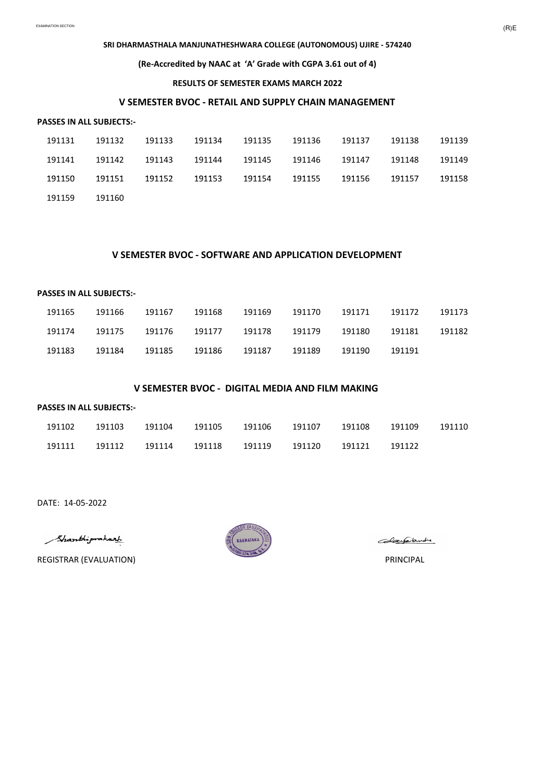#### **PASSES IN ALL SUBJECTS:-**

### **SRI DHARMASTHALA MANJUNATHESHWARA COLLEGE (AUTONOMOUS) UJIRE - 574240**

| 191131 | 191132 | 191133 | 191134 | 191135 | 191136 | 191137 | 191138 | 191139 |
|--------|--------|--------|--------|--------|--------|--------|--------|--------|
| 191141 | 191142 | 191143 | 191144 | 191145 | 191146 | 191147 | 191148 | 191149 |
| 191150 | 191151 | 191152 | 191153 | 191154 | 191155 | 191156 | 191157 | 191158 |
| 191159 | 191160 |        |        |        |        |        |        |        |

### **(Re-Accredited by NAAC at 'A' Grade with CGPA 3.61 out of 4)**

#### **RESULTS OF SEMESTER EXAMS MARCH 2022**

# **V SEMESTER BVOC - RETAIL AND SUPPLY CHAIN MANAGEMENT**

#### **PASSES IN ALL SUBJECTS:-**

| 191165 | 191166 | 191167 | 191168 | 191169 | 191170 | 191171 | 191172 | 191173 |
|--------|--------|--------|--------|--------|--------|--------|--------|--------|
| 191174 | 191175 | 191176 | 191177 | 191178 | 191179 | 191180 | 191181 | 191182 |
| 191183 | 191184 | 191185 | 191186 | 191187 | 191189 | 191190 | 191191 |        |

### **V SEMESTER BVOC - SOFTWARE AND APPLICATION DEVELOPMENT**

#### **PASSES IN ALL SUBJECTS:-**

| 191102 | 191103 | 191104 | 191105 | 191106 | 191107 | 191108 | 191109 | 191110 |
|--------|--------|--------|--------|--------|--------|--------|--------|--------|
| 191111 | 191112 | 191114 | 191118 | 191119 | 191120 | 191121 | 191122 |        |

DATE: 14-05-2022

Shanthiprakart

REGISTRAR (EVALUATION) PRINCIPAL



Colaegalandre

### **V SEMESTER BVOC - DIGITAL MEDIA AND FILM MAKING**